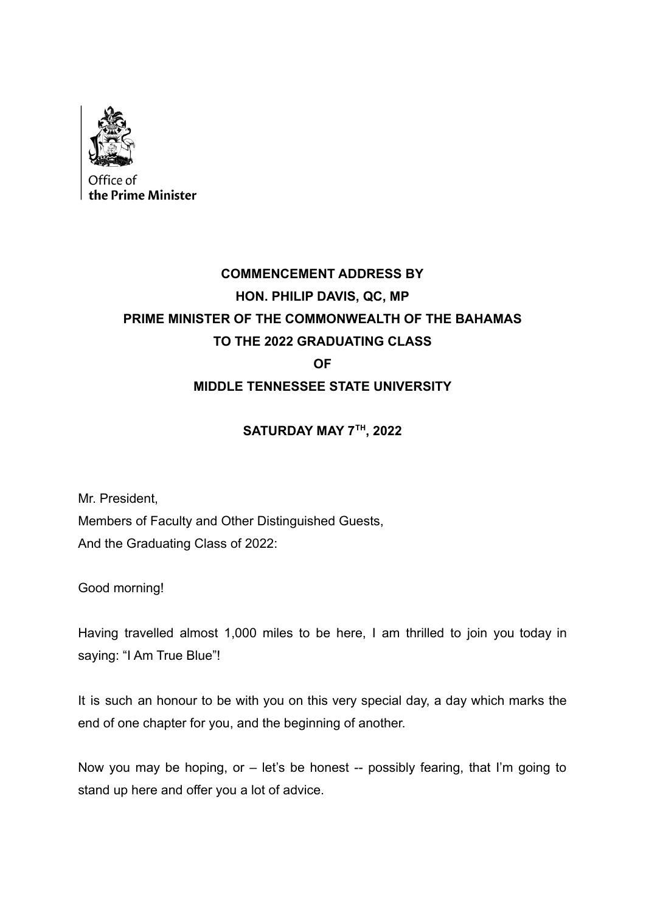

## **COMMENCEMENT ADDRESS BY HON. PHILIP DAVIS, QC, MP PRIME MINISTER OF THE COMMONWEALTH OF THE BAHAMAS TO THE 2022 GRADUATING CLASS OF MIDDLE TENNESSEE STATE UNIVERSITY**

## **SATURDAY MAY 7TH , 2022**

Mr. President, Members of Faculty and Other Distinguished Guests, And the Graduating Class of 2022:

Good morning!

Having travelled almost 1,000 miles to be here, I am thrilled to join you today in saying: "I Am True Blue"!

It is such an honour to be with you on this very special day, a day which marks the end of one chapter for you, and the beginning of another.

Now you may be hoping, or – let's be honest -- possibly fearing, that I'm going to stand up here and offer you a lot of advice.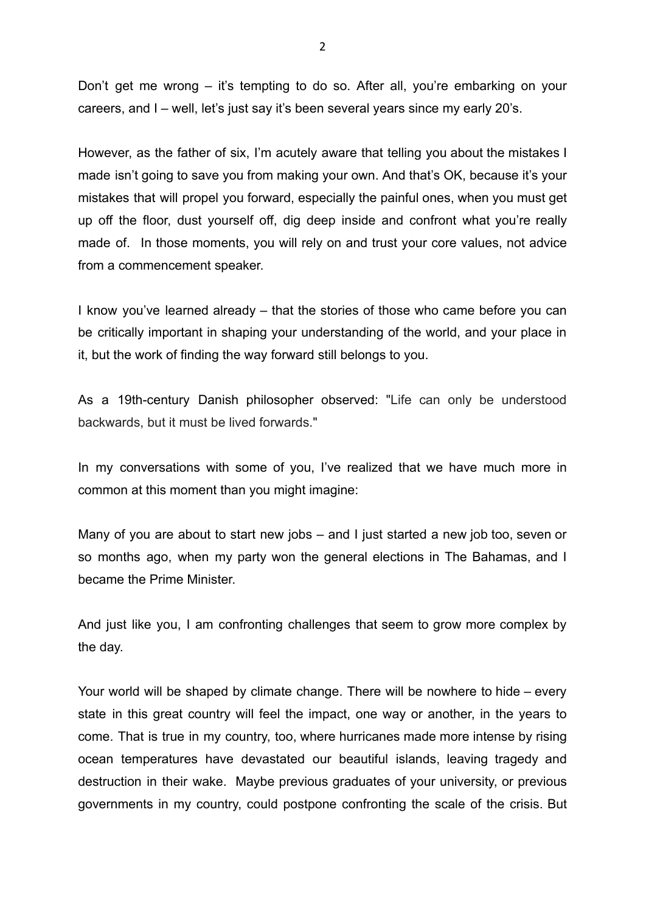Don't get me wrong – it's tempting to do so. After all, you're embarking on your careers, and I – well, let's just say it's been several years since my early 20's.

However, as the father of six, I'm acutely aware that telling you about the mistakes I made isn't going to save you from making your own. And that's OK, because it's your mistakes that will propel you forward, especially the painful ones, when you must get up off the floor, dust yourself off, dig deep inside and confront what you're really made of. In those moments, you will rely on and trust your core values, not advice from a commencement speaker.

I know you've learned already – that the stories of those who came before you can be critically important in shaping your understanding of the world, and your place in it, but the work of finding the way forward still belongs to you.

As a 19th-century Danish philosopher observed: "Life can only be understood backwards, but it must be lived forwards."

In my conversations with some of you, I've realized that we have much more in common at this moment than you might imagine:

Many of you are about to start new jobs – and I just started a new job too, seven or so months ago, when my party won the general elections in The Bahamas, and I became the Prime Minister.

And just like you, I am confronting challenges that seem to grow more complex by the day.

Your world will be shaped by climate change. There will be nowhere to hide – every state in this great country will feel the impact, one way or another, in the years to come. That is true in my country, too, where hurricanes made more intense by rising ocean temperatures have devastated our beautiful islands, leaving tragedy and destruction in their wake. Maybe previous graduates of your university, or previous governments in my country, could postpone confronting the scale of the crisis. But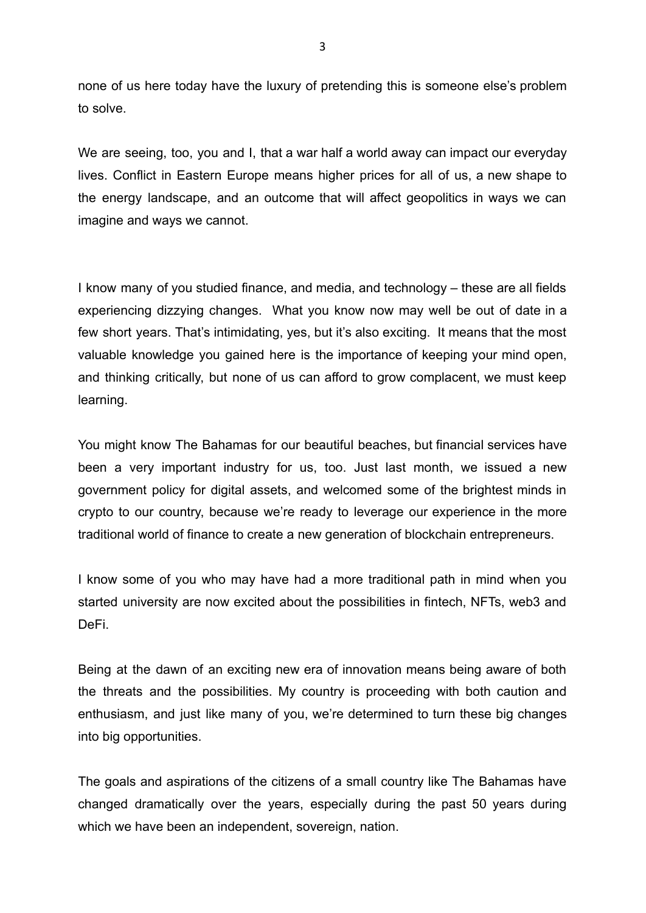none of us here today have the luxury of pretending this is someone else's problem to solve.

We are seeing, too, you and I, that a war half a world away can impact our everyday lives. Conflict in Eastern Europe means higher prices for all of us, a new shape to the energy landscape, and an outcome that will affect geopolitics in ways we can imagine and ways we cannot.

I know many of you studied finance, and media, and technology – these are all fields experiencing dizzying changes. What you know now may well be out of date in a few short years. That's intimidating, yes, but it's also exciting. It means that the most valuable knowledge you gained here is the importance of keeping your mind open, and thinking critically, but none of us can afford to grow complacent, we must keep learning.

You might know The Bahamas for our beautiful beaches, but financial services have been a very important industry for us, too. Just last month, we issued a new government policy for digital assets, and welcomed some of the brightest minds in crypto to our country, because we're ready to leverage our experience in the more traditional world of finance to create a new generation of blockchain entrepreneurs.

I know some of you who may have had a more traditional path in mind when you started university are now excited about the possibilities in fintech, NFTs, web3 and DeFi.

Being at the dawn of an exciting new era of innovation means being aware of both the threats and the possibilities. My country is proceeding with both caution and enthusiasm, and just like many of you, we're determined to turn these big changes into big opportunities.

The goals and aspirations of the citizens of a small country like The Bahamas have changed dramatically over the years, especially during the past 50 years during which we have been an independent, sovereign, nation.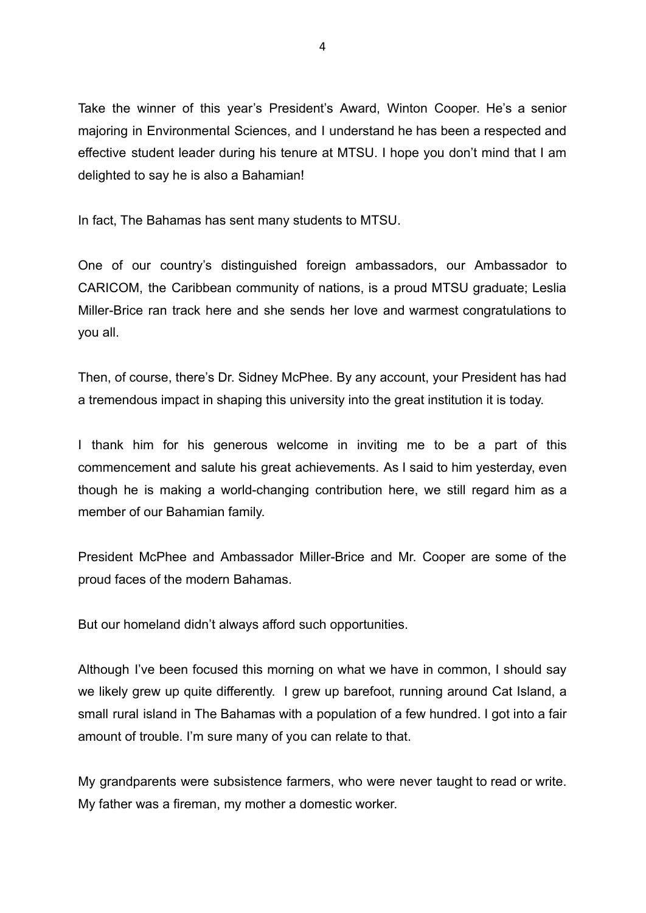Take the winner of this year's President's Award, Winton Cooper. He's a senior majoring in Environmental Sciences, and I understand he has been a respected and effective student leader during his tenure at MTSU. I hope you don't mind that I am delighted to say he is also a Bahamian!

In fact, The Bahamas has sent many students to MTSU.

One of our country's distinguished foreign ambassadors, our Ambassador to CARICOM, the Caribbean community of nations, is a proud MTSU graduate; Leslia Miller-Brice ran track here and she sends her love and warmest congratulations to you all.

Then, of course, there's Dr. Sidney McPhee. By any account, your President has had a tremendous impact in shaping this university into the great institution it is today.

I thank him for his generous welcome in inviting me to be a part of this commencement and salute his great achievements. As I said to him yesterday, even though he is making a world-changing contribution here, we still regard him as a member of our Bahamian family.

President McPhee and Ambassador Miller-Brice and Mr. Cooper are some of the proud faces of the modern Bahamas.

But our homeland didn't always afford such opportunities.

Although I've been focused this morning on what we have in common, I should say we likely grew up quite differently. I grew up barefoot, running around Cat Island, a small rural island in The Bahamas with a population of a few hundred. I got into a fair amount of trouble. I'm sure many of you can relate to that.

My grandparents were subsistence farmers, who were never taught to read or write. My father was a fireman, my mother a domestic worker.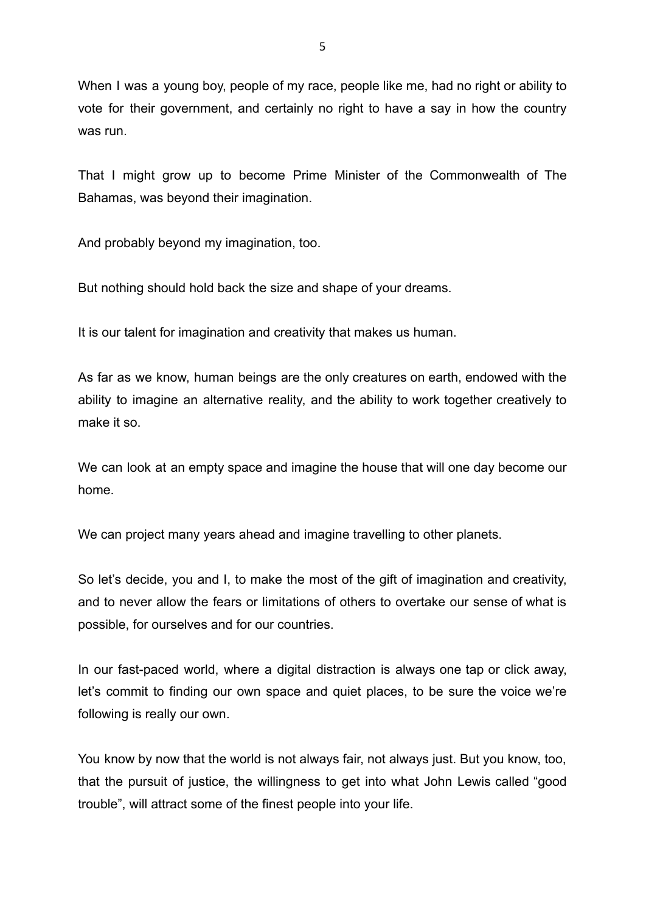When I was a young boy, people of my race, people like me, had no right or ability to vote for their government, and certainly no right to have a say in how the country was run.

That I might grow up to become Prime Minister of the Commonwealth of The Bahamas, was beyond their imagination.

And probably beyond my imagination, too.

But nothing should hold back the size and shape of your dreams.

It is our talent for imagination and creativity that makes us human.

As far as we know, human beings are the only creatures on earth, endowed with the ability to imagine an alternative reality, and the ability to work together creatively to make it so.

We can look at an empty space and imagine the house that will one day become our home.

We can project many years ahead and imagine travelling to other planets.

So let's decide, you and I, to make the most of the gift of imagination and creativity, and to never allow the fears or limitations of others to overtake our sense of what is possible, for ourselves and for our countries.

In our fast-paced world, where a digital distraction is always one tap or click away, let's commit to finding our own space and quiet places, to be sure the voice we're following is really our own.

You know by now that the world is not always fair, not always just. But you know, too, that the pursuit of justice, the willingness to get into what John Lewis called "good trouble", will attract some of the finest people into your life.